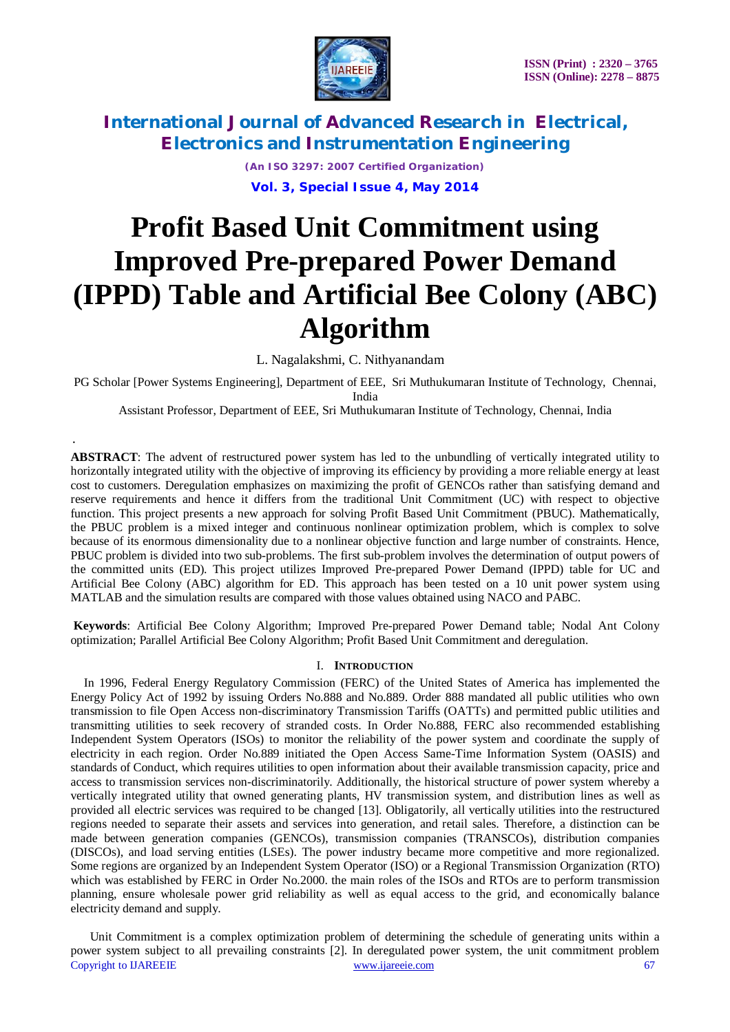

> *(An ISO 3297: 2007 Certified Organization)* **Vol. 3, Special Issue 4, May 2014**

# **Profit Based Unit Commitment using Improved Pre-prepared Power Demand (IPPD) Table and Artificial Bee Colony (ABC) Algorithm**

L. Nagalakshmi, C. Nithyanandam

.

PG Scholar [Power Systems Engineering], Department of EEE, Sri Muthukumaran Institute of Technology, Chennai, India

Assistant Professor, Department of EEE, Sri Muthukumaran Institute of Technology, Chennai, India

**ABSTRACT**: The advent of restructured power system has led to the unbundling of vertically integrated utility to horizontally integrated utility with the objective of improving its efficiency by providing a more reliable energy at least cost to customers. Deregulation emphasizes on maximizing the profit of GENCOs rather than satisfying demand and reserve requirements and hence it differs from the traditional Unit Commitment (UC) with respect to objective function. This project presents a new approach for solving Profit Based Unit Commitment (PBUC). Mathematically, the PBUC problem is a mixed integer and continuous nonlinear optimization problem, which is complex to solve because of its enormous dimensionality due to a nonlinear objective function and large number of constraints. Hence, PBUC problem is divided into two sub-problems. The first sub-problem involves the determination of output powers of the committed units (ED). This project utilizes Improved Pre-prepared Power Demand (IPPD) table for UC and Artificial Bee Colony (ABC) algorithm for ED. This approach has been tested on a 10 unit power system using MATLAB and the simulation results are compared with those values obtained using NACO and PABC.

**Keywords**: Artificial Bee Colony Algorithm; Improved Pre-prepared Power Demand table; Nodal Ant Colony optimization; Parallel Artificial Bee Colony Algorithm; Profit Based Unit Commitment and deregulation.

#### I. **INTRODUCTION**

In 1996, Federal Energy Regulatory Commission (FERC) of the United States of America has implemented the Energy Policy Act of 1992 by issuing Orders No.888 and No.889. Order 888 mandated all public utilities who own transmission to file Open Access non-discriminatory Transmission Tariffs (OATTs) and permitted public utilities and transmitting utilities to seek recovery of stranded costs. In Order No.888, FERC also recommended establishing Independent System Operators (ISOs) to monitor the reliability of the power system and coordinate the supply of electricity in each region. Order No.889 initiated the Open Access Same-Time Information System (OASIS) and standards of Conduct, which requires utilities to open information about their available transmission capacity, price and access to transmission services non-discriminatorily. Additionally, the historical structure of power system whereby a vertically integrated utility that owned generating plants, HV transmission system, and distribution lines as well as provided all electric services was required to be changed [13]. Obligatorily, all vertically utilities into the restructured regions needed to separate their assets and services into generation, and retail sales. Therefore, a distinction can be made between generation companies (GENCOs), transmission companies (TRANSCOs), distribution companies (DISCOs), and load serving entities (LSEs). The power industry became more competitive and more regionalized. Some regions are organized by an Independent System Operator (ISO) or a Regional Transmission Organization (RTO) which was established by FERC in Order No.2000. the main roles of the ISOs and RTOs are to perform transmission planning, ensure wholesale power grid reliability as well as equal access to the grid, and economically balance electricity demand and supply.

Copyright to IJAREEIE www.ijareeie.com 67 Unit Commitment is a complex optimization problem of determining the schedule of generating units within a power system subject to all prevailing constraints [2]. In deregulated power system, the unit commitment problem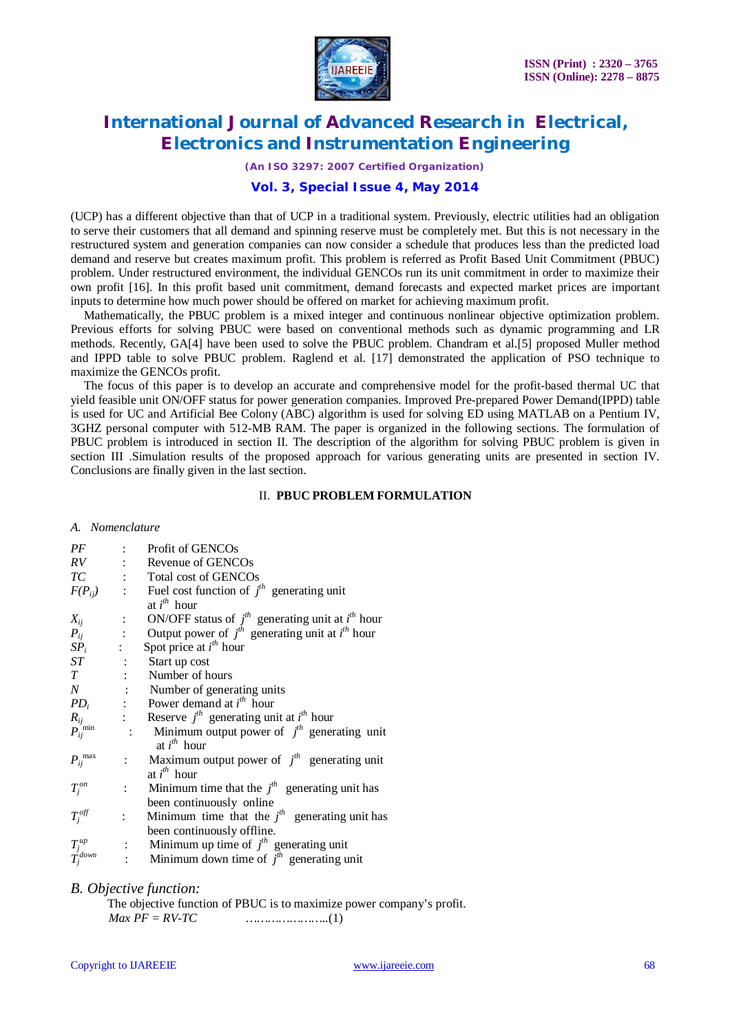

*(An ISO 3297: 2007 Certified Organization)*

### **Vol. 3, Special Issue 4, May 2014**

(UCP) has a different objective than that of UCP in a traditional system. Previously, electric utilities had an obligation to serve their customers that all demand and spinning reserve must be completely met. But this is not necessary in the restructured system and generation companies can now consider a schedule that produces less than the predicted load demand and reserve but creates maximum profit. This problem is referred as Profit Based Unit Commitment (PBUC) problem. Under restructured environment, the individual GENCOs run its unit commitment in order to maximize their own profit [16]. In this profit based unit commitment, demand forecasts and expected market prices are important inputs to determine how much power should be offered on market for achieving maximum profit.

Mathematically, the PBUC problem is a mixed integer and continuous nonlinear objective optimization problem. Previous efforts for solving PBUC were based on conventional methods such as dynamic programming and LR methods. Recently, GA[4] have been used to solve the PBUC problem. Chandram et al.[5] proposed Muller method and IPPD table to solve PBUC problem. Raglend et al. [17] demonstrated the application of PSO technique to maximize the GENCOs profit.

The focus of this paper is to develop an accurate and comprehensive model for the profit-based thermal UC that yield feasible unit ON/OFF status for power generation companies. Improved Pre-prepared Power Demand(IPPD) table is used for UC and Artificial Bee Colony (ABC) algorithm is used for solving ED using MATLAB on a Pentium IV, 3GHZ personal computer with 512-MB RAM. The paper is organized in the following sections. The formulation of PBUC problem is introduced in section II. The description of the algorithm for solving PBUC problem is given in section III .Simulation results of the proposed approach for various generating units are presented in section IV. Conclusions are finally given in the last section.

#### II. **PBUC PROBLEM FORMULATION**

#### *A. Nomenclature*

| PF                             |                           | Profit of GENCOs                                                                                                                                                                                              |
|--------------------------------|---------------------------|---------------------------------------------------------------------------------------------------------------------------------------------------------------------------------------------------------------|
| RV                             |                           | $\therefore$ Revenue of GENCOs                                                                                                                                                                                |
|                                |                           | TC : Total cost of GENCOs                                                                                                                                                                                     |
| $F(P_{ij})$                    |                           | : Fuel cost function of $jth$ generating unit<br>at $i^{th}$ hour                                                                                                                                             |
|                                |                           |                                                                                                                                                                                                               |
|                                |                           | $X_{ij}$ : ON/OFF status of $j^{th}$ generating unit at $i^{th}$ hour<br>$P_{ij}$ : Output power of $j^{th}$ generating unit at $i^{th}$ hour<br>$SP_i$ : Spot price at $i^{th}$ hour<br>$ST$ : Start up cost |
|                                |                           |                                                                                                                                                                                                               |
|                                |                           | : Start up cost<br>: Number of hours                                                                                                                                                                          |
| T                              |                           |                                                                                                                                                                                                               |
|                                |                           | $N$ : Number of generating units                                                                                                                                                                              |
|                                |                           | $PD_i$ : Power demand at $i^{th}$ hour                                                                                                                                                                        |
|                                |                           | : Reserve $j^h$ generating unit at $i^h$ hour                                                                                                                                                                 |
| $\frac{R_{ij}}{P_{ij}}$ min    |                           | : Minimum output power of $jth$ generating unit<br>at $i^{th}$ hour                                                                                                                                           |
| $P_{ij}^{\; \; \; \text{max}}$ |                           | : Maximum output power of $j^{th}$ generating unit<br>at $i^{th}$ hour                                                                                                                                        |
| $T_j^{\mathit{on}}$            |                           | : Minimum time that the $jth$ generating unit has                                                                                                                                                             |
|                                |                           | been continuously online                                                                                                                                                                                      |
| $T_j^{off}$                    | $\mathbb{R}^{\mathbb{Z}}$ | Minimum time that the $jth$ generating unit has                                                                                                                                                               |
|                                |                           | been continuously offline.                                                                                                                                                                                    |
|                                |                           | : Minimum up time of $j^{\text{th}}$ generating unit                                                                                                                                                          |
| $\frac{T_j^{up}}{T_j^{down}}$  |                           | : Minimum down time of $j^h$ generating unit                                                                                                                                                                  |

#### *B. Objective function:*

The objective function of PBUC is to maximize power company's profit. *Max PF = RV-TC …………………..*(1)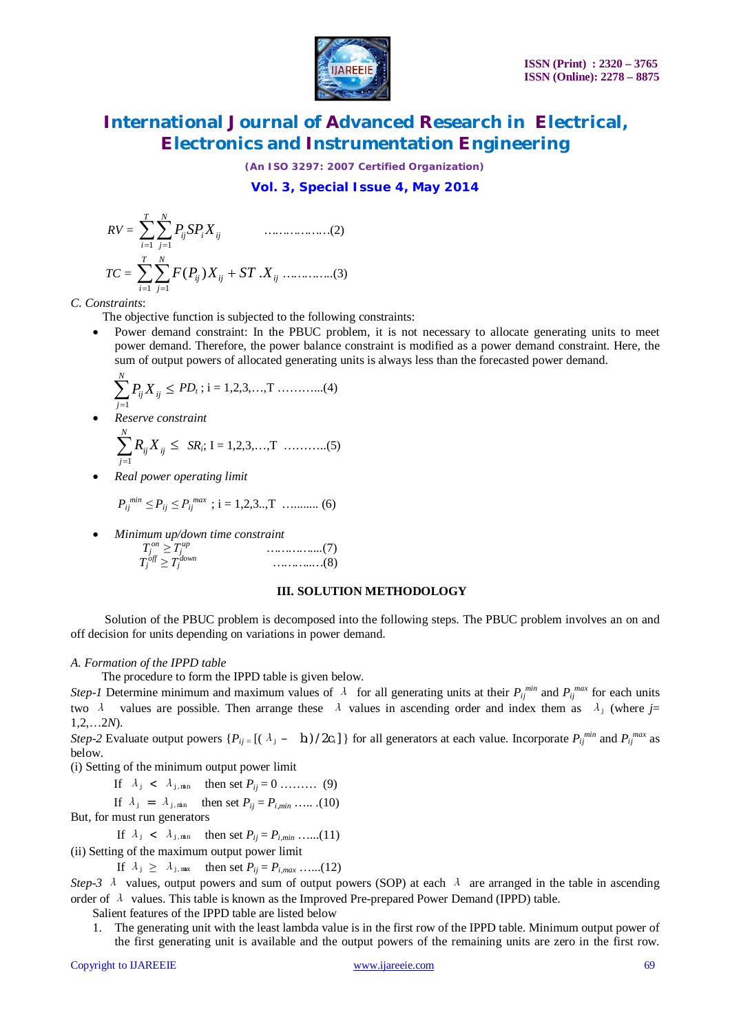

*(An ISO 3297: 2007 Certified Organization)*

**Vol. 3, Special Issue 4, May 2014**

 *RV = T i N j ij <sup>i</sup>Xij P SP* 1 1  *………………*(2)  *TC = T i N j ij ij Xij F P X ST* 1 1 ( ) . *…………..*(3)

*C. Constraints*:

The objective function is subjected to the following constraints:

 Power demand constraint: In the PBUC problem, it is not necessary to allocate generating units to meet power demand. Therefore, the power balance constraint is modified as a power demand constraint. Here, the sum of output powers of allocated generating units is always less than the forecasted power demand.

$$
\sum_{j=1}^{N} P_{ij} X_{ij} \le PD_t \, ; \, i = 1, 2, 3, \dots, T \dots \dots \dots \dots (4)
$$

- *Reserve constraint*  $\sum_{j=1} R_{ij} X_{ij} \leq$ *N j*  $R_{ij}X_{ij}$ 1  *SR<sup>i</sup>* ; I = 1,2,3,…,T ………..(5)
	- *Real power operating limit*

$$
P_{ij}^{min} \leq P_{ij} \leq P_{ij}^{max} \ ; i = 1, 2, 3, \dots, T \ \dots \dots \dots \dots \tag{6}
$$

 *Minimum up/down time constraint*  $T_j$  $\sum_{i=1}^{on}$  *≥*  $T_j^{up}$  *…………....*(7)

 *T<sup>j</sup> off ≥ T<sup>j</sup> down ………..…*(8)

#### **III. SOLUTION METHODOLOGY**

 Solution of the PBUC problem is decomposed into the following steps. The PBUC problem involves an on and off decision for units depending on variations in power demand.

#### *A. Formation of the IPPD table*

The procedure to form the IPPD table is given below.

*Step-1* Determine minimum and maximum values of  $\lambda$  for all generating units at their  $P_{ij}^{min}$  and  $P_{ij}^{max}$  for each units two *λ* values are possible. Then arrange these *λ* values in ascending order and index them as  $\lambda_j$  (where  $j=$ 1,2,…2*N*).

*Step-2* Evaluate output powers  $\{P_{ij} = [(\lambda_j - b_i)/2c_i]\}$  for all generators at each value. Incorporate  $P_{ij}^{min}$  and  $P_{ij}^{max}$  as below.

(i) Setting of the minimum output power limit

If  $\lambda_j < \lambda_{j,\min}$  then set  $P_{ij} = 0$  ……… (9)

If 
$$
\lambda_j = \lambda_{j,\text{min}}
$$
 then set  $P_{ij} = P_{i,\text{min}}$  .... (10)

But, for must run generators

If  $\lambda_j < \lambda_{j,min}$  then set  $P_{ij} = P_{i,min}$  ……(11)

(ii) Setting of the maximum output power limit

If  $\lambda_j \geq \lambda_{j,\text{max}}$  then set  $P_{ij} = P_{i,\text{max}}$  …...(12)

*Step-3 λ* values, output powers and sum of output powers (SOP) at each *λ* are arranged in the table in ascending order of *<sup>λ</sup>* values. This table is known as the Improved Pre-prepared Power Demand (IPPD) table.

Salient features of the IPPD table are listed below

1. The generating unit with the least lambda value is in the first row of the IPPD table. Minimum output power of the first generating unit is available and the output powers of the remaining units are zero in the first row.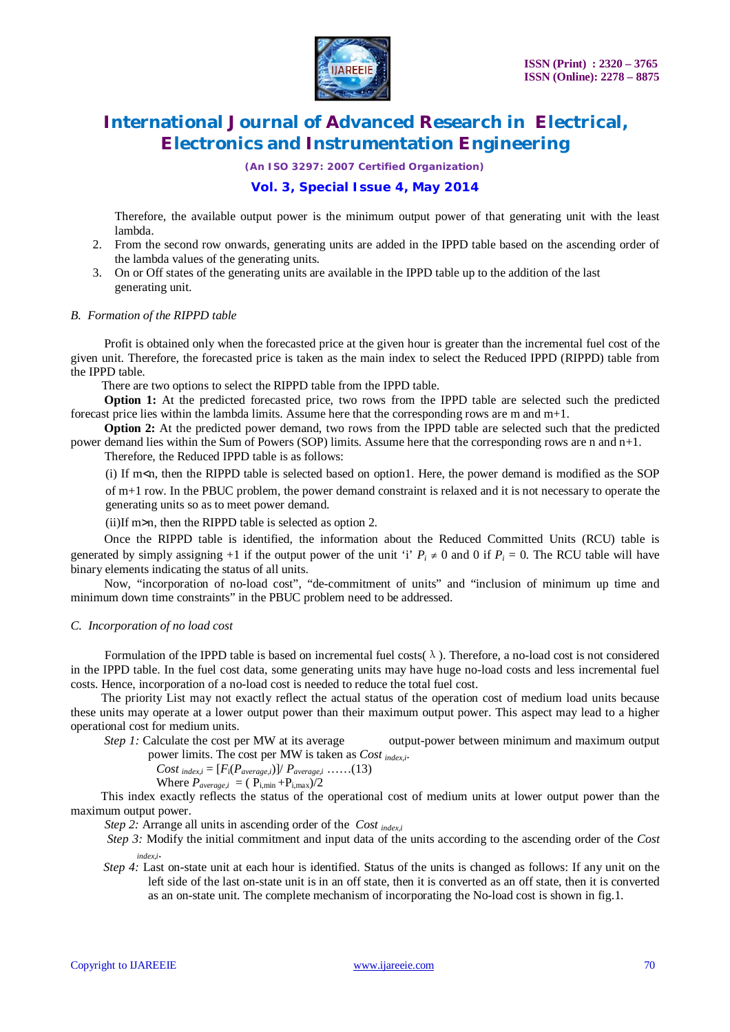

*(An ISO 3297: 2007 Certified Organization)*

### **Vol. 3, Special Issue 4, May 2014**

Therefore, the available output power is the minimum output power of that generating unit with the least lambda.

- 2. From the second row onwards, generating units are added in the IPPD table based on the ascending order of the lambda values of the generating units.
- 3. On or Off states of the generating units are available in the IPPD table up to the addition of the last generating unit.

#### *B. Formation of the RIPPD table*

 Profit is obtained only when the forecasted price at the given hour is greater than the incremental fuel cost of the given unit. Therefore, the forecasted price is taken as the main index to select the Reduced IPPD (RIPPD) table from the IPPD table.

There are two options to select the RIPPD table from the IPPD table.

 **Option 1:** At the predicted forecasted price, two rows from the IPPD table are selected such the predicted forecast price lies within the lambda limits. Assume here that the corresponding rows are m and m+1.

**Option 2:** At the predicted power demand, two rows from the IPPD table are selected such that the predicted power demand lies within the Sum of Powers (SOP) limits. Assume here that the corresponding rows are n and n+1.

Therefore, the Reduced IPPD table is as follows:

(i) If m<n, then the RIPPD table is selected based on option1. Here, the power demand is modified as the SOP of m+1 row. In the PBUC problem, the power demand constraint is relaxed and it is not necessary to operate the

generating units so as to meet power demand.

(ii)If m>n, then the RIPPD table is selected as option 2.

 Once the RIPPD table is identified, the information about the Reduced Committed Units (RCU) table is generated by simply assigning +1 if the output power of the unit 'i'  $P_i \neq 0$  and 0 if  $P_i = 0$ . The RCU table will have binary elements indicating the status of all units.

 Now, "incorporation of no-load cost", "de-commitment of units" and "inclusion of minimum up time and minimum down time constraints" in the PBUC problem need to be addressed.

#### *C. Incorporation of no load cost*

Formulation of the IPPD table is based on incremental fuel costs( $\lambda$ ). Therefore, a no-load cost is not considered in the IPPD table. In the fuel cost data, some generating units may have huge no-load costs and less incremental fuel costs. Hence, incorporation of a no-load cost is needed to reduce the total fuel cost.

 The priority List may not exactly reflect the actual status of the operation cost of medium load units because these units may operate at a lower output power than their maximum output power. This aspect may lead to a higher operational cost for medium units.

*Step 1:* Calculate the cost per MW at its average output-power between minimum and maximum output power limits. The cost per MW is taken as *Cost index,i*.

Cost 
$$
_{index,i} = [F_i(P_{average,i})] / P_{average,i} \dots (13)
$$

Where  $P_{average,i} = (P_{i,min} + P_{i,max})/2$ 

 This index exactly reflects the status of the operational cost of medium units at lower output power than the maximum output power.

 *Step 2:* Arrange all units in ascending order of the *Cost index,i*

 *Step 3:* Modify the initial commitment and input data of the units according to the ascending order of the *Cost index,i*.

*Step 4:* Last on-state unit at each hour is identified. Status of the units is changed as follows: If any unit on the left side of the last on-state unit is in an off state, then it is converted as an off state, then it is converted as an on-state unit. The complete mechanism of incorporating the No-load cost is shown in fig.1.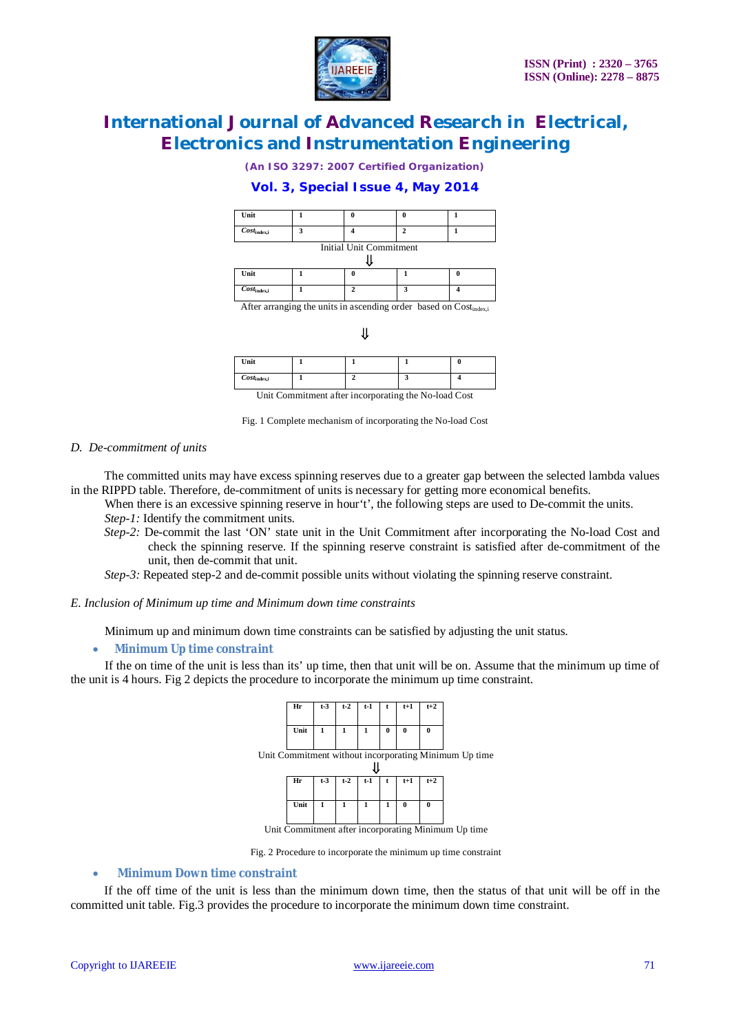

*(An ISO 3297: 2007 Certified Organization)*

### **Vol. 3, Special Issue 4, May 2014**

| Unit                        |   |   |   |  |  |  |  |  |
|-----------------------------|---|---|---|--|--|--|--|--|
| $Cost_{index,i}$            | ٦ |   |   |  |  |  |  |  |
| Initial Unit Commitment     |   |   |   |  |  |  |  |  |
| Unit                        |   | ſ |   |  |  |  |  |  |
| $\overline{Cost}_{index,i}$ |   |   | э |  |  |  |  |  |

After arranging the units in ascending order based on Cost<sub>index</sub>;

#### $\mathbf{I}$

| Unit             |  |  |
|------------------|--|--|
| $Cost_{index,i}$ |  |  |

Unit Commitment after incorporating the No-load Cost

Fig. 1 Complete mechanism of incorporating the No-load Cost

#### *D. De-commitment of units*

 The committed units may have excess spinning reserves due to a greater gap between the selected lambda values in the RIPPD table. Therefore, de-commitment of units is necessary for getting more economical benefits.

- When there is an excessive spinning reserve in hour't', the following steps are used to De-commit the units.
- *Step-1:* Identify the commitment units.
- *Step-2:* De-commit the last 'ON' state unit in the Unit Commitment after incorporating the No-load Cost and check the spinning reserve. If the spinning reserve constraint is satisfied after de-commitment of the unit, then de-commit that unit.

*Step-3:* Repeated step-2 and de-commit possible units without violating the spinning reserve constraint.

#### *E. Inclusion of Minimum up time and Minimum down time constraints*

Minimum up and minimum down time constraints can be satisfied by adjusting the unit status.

#### *Minimum Up time constraint*

 If the on time of the unit is less than its' up time, then that unit will be on. Assume that the minimum up time of the unit is 4 hours. Fig 2 depicts the procedure to incorporate the minimum up time constraint.



Fig. 2 Procedure to incorporate the minimum up time constraint

#### **Minimum Down time constraint**

 If the off time of the unit is less than the minimum down time, then the status of that unit will be off in the committed unit table. Fig.3 provides the procedure to incorporate the minimum down time constraint.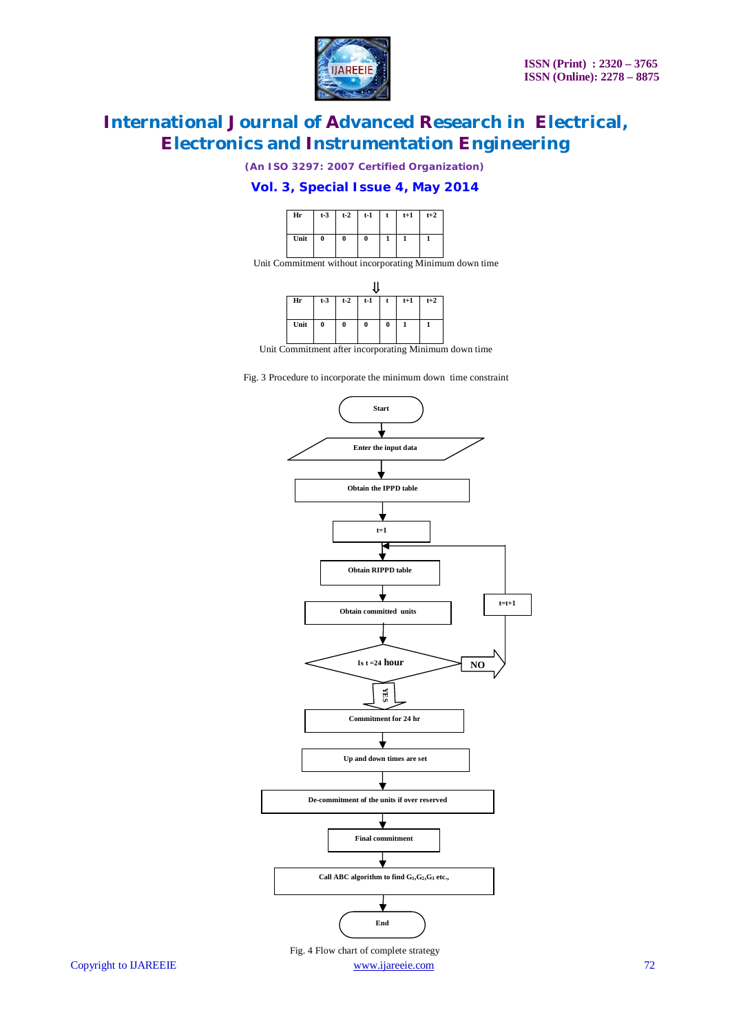

*(An ISO 3297: 2007 Certified Organization)*

### **Vol. 3, Special Issue 4, May 2014**



Unit Commitment without incorporating Minimum down time



Unit Commitment after incorporating Minimum down time

Fig. 3 Procedure to incorporate the minimum down time constraint



Copyright to IJAREEIE www.ijareeie.com 72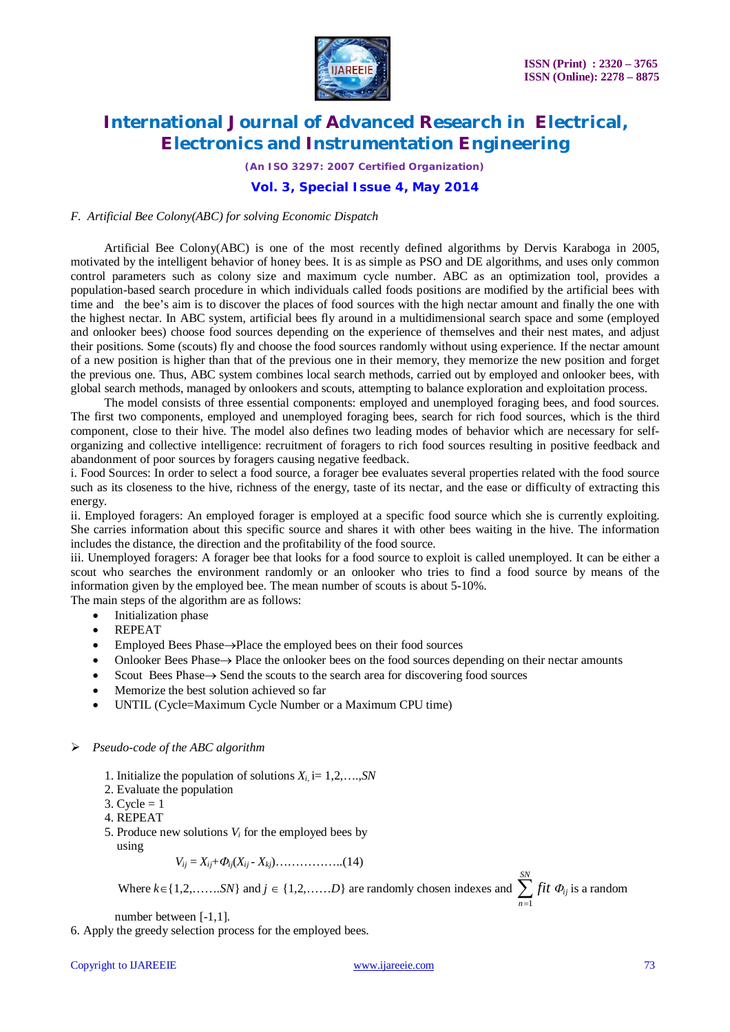

*(An ISO 3297: 2007 Certified Organization)*

### **Vol. 3, Special Issue 4, May 2014**

#### *F. Artificial Bee Colony(ABC) for solving Economic Dispatch*

Artificial Bee Colony(ABC) is one of the most recently defined algorithms by Dervis Karaboga in 2005, motivated by the intelligent behavior of honey bees. It is as simple as PSO and DE algorithms, and uses only common control parameters such as colony size and maximum cycle number. ABC as an optimization tool, provides a population-based search procedure in which individuals called foods positions are modified by the artificial bees with time and the bee's aim is to discover the places of food sources with the high nectar amount and finally the one with the highest nectar. In ABC system, artificial bees fly around in a multidimensional search space and some (employed and onlooker bees) choose food sources depending on the experience of themselves and their nest mates, and adjust their positions. Some (scouts) fly and choose the food sources randomly without using experience. If the nectar amount of a new position is higher than that of the previous one in their memory, they memorize the new position and forget the previous one. Thus, ABC system combines local search methods, carried out by employed and onlooker bees, with global search methods, managed by onlookers and scouts, attempting to balance exploration and exploitation process.

 The model consists of three essential components: employed and unemployed foraging bees, and food sources. The first two components, employed and unemployed foraging bees, search for rich food sources, which is the third component, close to their hive. The model also defines two leading modes of behavior which are necessary for selforganizing and collective intelligence: recruitment of foragers to rich food sources resulting in positive feedback and abandonment of poor sources by foragers causing negative feedback.

i. Food Sources: In order to select a food source, a forager bee evaluates several properties related with the food source such as its closeness to the hive, richness of the energy, taste of its nectar, and the ease or difficulty of extracting this energy.

ii. Employed foragers: An employed forager is employed at a specific food source which she is currently exploiting. She carries information about this specific source and shares it with other bees waiting in the hive. The information includes the distance, the direction and the profitability of the food source.

iii. Unemployed foragers: A forager bee that looks for a food source to exploit is called unemployed. It can be either a scout who searches the environment randomly or an onlooker who tries to find a food source by means of the information given by the employed bee. The mean number of scouts is about 5-10%.

The main steps of the algorithm are as follows:

- Initialization phase
- REPEAT
- $\bullet$  Employed Bees Phase $\rightarrow$ Place the employed bees on their food sources
- Onlooker Bees Phase  $\rightarrow$  Place the onlooker bees on the food sources depending on their nectar amounts
- $\bullet$  Scout Bees Phase  $\rightarrow$  Send the scouts to the search area for discovering food sources
- Memorize the best solution achieved so far
- UNTIL (Cycle=Maximum Cycle Number or a Maximum CPU time)

#### *Pseudo-code of the ABC algorithm*

- 1. Initialize the population of solutions  $X_i$ , i= 1,2,...,*SN* 
	- 2. Evaluate the population
	- 3. Cycle  $= 1$
	- 4. REPEAT
	- 5. Produce new solutions  $V_i$  for the employed bees by
	- using

 *Vij* = *Xij*+*ij*(*Xij* - *Xkj*)……………..(14)

Where  $k \in \{1, 2, \ldots, SN\}$  and  $j \in \{1, 2, \ldots, D\}$  are randomly chosen indexes and  $\sum_{n=1}^{SN}$ *n fit* 1  $\Phi_{ij}$  is a random

number between [-1,1].

6. Apply the greedy selection process for the employed bees.

#### Copyright to IJAREEIE www.ijareeie.com 73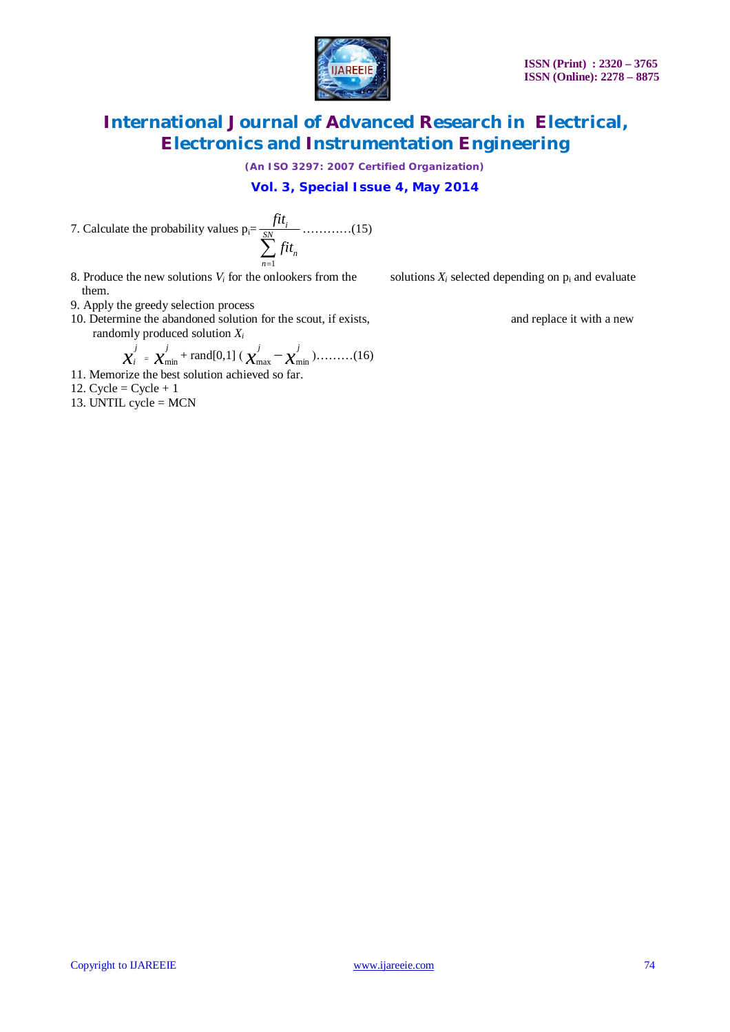

*(An ISO 3297: 2007 Certified Organization)*

**Vol. 3, Special Issue 4, May 2014**

7. Calculate the probability values  $p_i =$  $\sum_{n=1}^{SN}$ *n i fit fit* …………(15)

8. Produce the new solutions *V<sub>i</sub>* for the onlookers from the solutions  $X_i$  selected depending on  $p_i$  and evaluate them.

- 9. Apply the greedy selection process
- 10. Determine the abandoned solution for the scout, if exists, and replace it with a new randomly produced solution *X<sup>i</sup>*

$$
\boldsymbol{\chi}_{i}^{j} = \boldsymbol{\chi}_{\min}^{j} + \text{rand}[0,1] \left( \boldsymbol{\chi}_{\max}^{j} - \boldsymbol{\chi}_{\min}^{j} \right) \dots \dots \dots (16)
$$

*n*

1

 *x* 11. Memorize the best solution achieved so far.

12. Cycle =  $Cycle + 1$ 

13. UNTIL cycle = MCN

Copyright to IJAREEIE www.ijareeie.com 74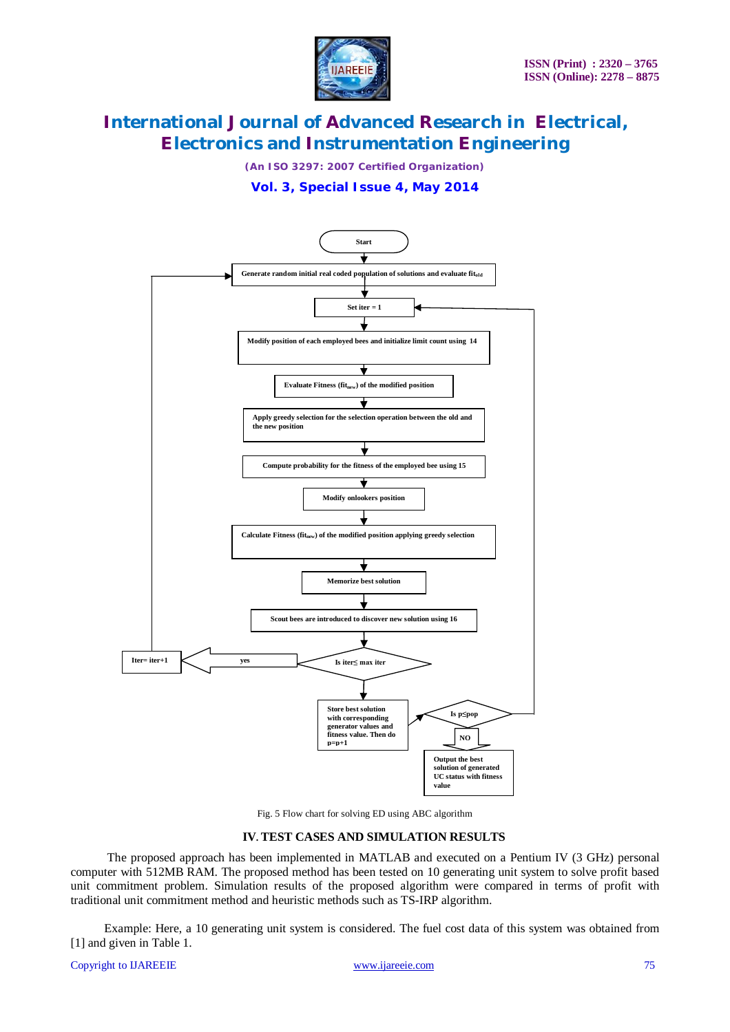

*(An ISO 3297: 2007 Certified Organization)*

**Vol. 3, Special Issue 4, May 2014**



Fig. 5 Flow chart for solving ED using ABC algorithm

#### **IV. TEST CASES AND SIMULATION RESULTS**

 The proposed approach has been implemented in MATLAB and executed on a Pentium IV (3 GHz) personal computer with 512MB RAM. The proposed method has been tested on 10 generating unit system to solve profit based unit commitment problem. Simulation results of the proposed algorithm were compared in terms of profit with traditional unit commitment method and heuristic methods such as TS-IRP algorithm.

 Example: Here, a 10 generating unit system is considered. The fuel cost data of this system was obtained from [1] and given in Table 1.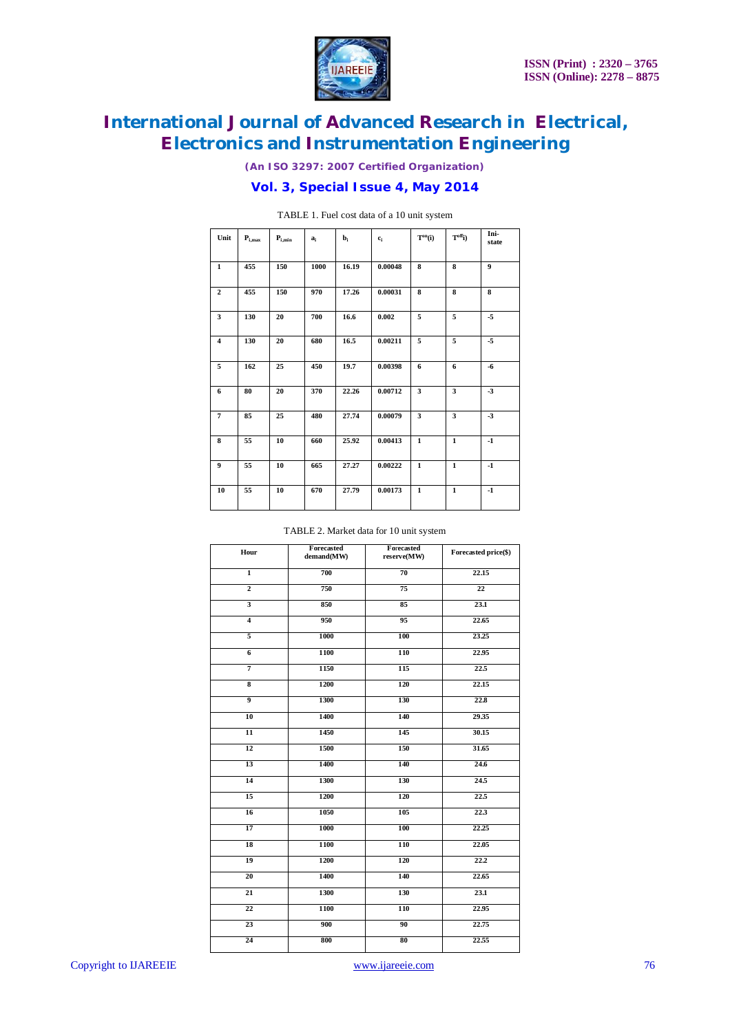

*(An ISO 3297: 2007 Certified Organization)*

### **Vol. 3, Special Issue 4, May 2014**

| Unit           | $P_{i,max}$ | $\mathbf{P}_{\text{i,min}}$ | a,   | b,    | $c_i$   | $T^{on}(i)$             | $T^{\text{off}}$ i)     | Ini-<br>state |
|----------------|-------------|-----------------------------|------|-------|---------|-------------------------|-------------------------|---------------|
| $\mathbf{1}$   | 455         | 150                         | 1000 | 16.19 | 0.00048 | 8                       | 8                       | 9             |
| $\overline{2}$ | 455         | 150                         | 970  | 17.26 | 0.00031 | 8                       | 8                       | 8             |
| 3              | 130         | 20                          | 700  | 16.6  | 0.002   | 5                       | 5                       | $-5$          |
| 4              | 130         | 20                          | 680  | 16.5  | 0.00211 | 5                       | 5                       | $-5$          |
| 5              | 162         | 25                          | 450  | 19.7  | 0.00398 | 6                       | 6                       | $-6$          |
| 6              | 80          | 20                          | 370  | 22.26 | 0.00712 | $\overline{\mathbf{3}}$ | $\overline{\mathbf{3}}$ | $-3$          |
| $\overline{7}$ | 85          | 25                          | 480  | 27.74 | 0.00079 | 3                       | $\overline{\mathbf{3}}$ | $-3$          |
| 8              | 55          | 10                          | 660  | 25.92 | 0.00413 | $\mathbf{1}$            | $\mathbf{1}$            | $-1$          |
| 9              | 55          | 10                          | 665  | 27.27 | 0.00222 | $\mathbf{1}$            | $\mathbf{1}$            | $-1$          |
| 10             | 55          | 10                          | 670  | 27.79 | 0.00173 | $\mathbf{1}$            | $\mathbf{1}$            | $-1$          |

TABLE 1. Fuel cost data of a 10 unit system

#### TABLE 2. Market data for 10 unit system

|                         | Forecasted | Forecasted  |                      |  |  |
|-------------------------|------------|-------------|----------------------|--|--|
| Hour                    | demand(MW) | reserve(MW) | Forecasted price(\$) |  |  |
| $\overline{1}$          | 700        | 70          | 22.15                |  |  |
| $\overline{2}$          | 750        | 75          | 22                   |  |  |
| $\overline{\mathbf{3}}$ | 850        | 85          | 23.1                 |  |  |
| $\overline{4}$          | 950        | 95          | 22.65                |  |  |
| $\overline{\mathbf{5}}$ | 1000       | 100         | 23.25                |  |  |
| $\overline{6}$          | 1100       | 110         | 22.95                |  |  |
| $\overline{7}$          | 1150       | 115         | 22.5                 |  |  |
| $\overline{\mathbf{8}}$ | 1200       | 120         | 22.15                |  |  |
| $\overline{9}$          | 1300       | 130         | 22.8                 |  |  |
| 10                      | 1400       | 140         | 29.35                |  |  |
| $\overline{11}$         | 1450       | 145         | 30.15                |  |  |
| $\overline{12}$         | 1500       | 150         | 31.65                |  |  |
| $\overline{13}$         | 1400       | 140         | 24.6                 |  |  |
| $\overline{14}$         | 1300       | 130         | 24.5                 |  |  |
| $\overline{15}$         | 1200       | 120         | 22.5                 |  |  |
| $\overline{16}$         | 1050       | 105         | 22.3                 |  |  |
| 17                      | 1000       | 100         | 22.25                |  |  |
| 18                      | 1100       | 110         | 22.05                |  |  |
| 19                      | 1200       | 120         | 22.2                 |  |  |
| 20                      | 1400       | 140         | 22.65                |  |  |
| 21                      | 1300       | 130         | 23.1                 |  |  |
| 22                      | 1100       | 110         | 22.95                |  |  |
| 23                      | 900        | 90          | 22.75                |  |  |
| 24                      | 800        | 80          | 22.55                |  |  |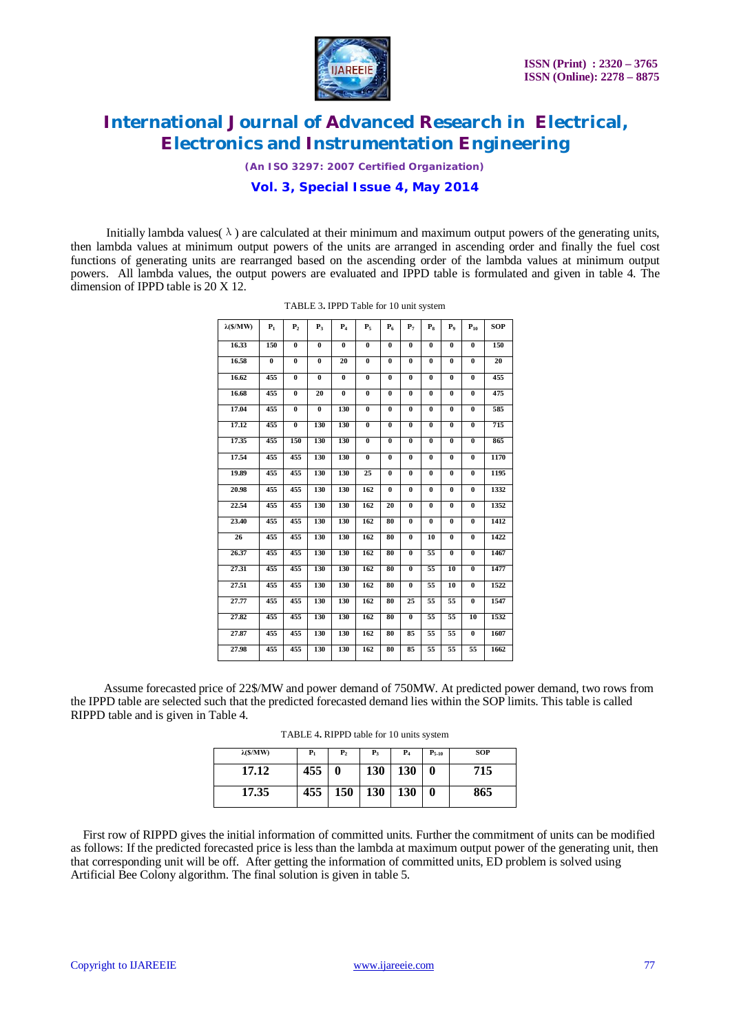

*(An ISO 3297: 2007 Certified Organization)*

### **Vol. 3, Special Issue 4, May 2014**

Initially lambda values( $\lambda$ ) are calculated at their minimum and maximum output powers of the generating units, then lambda values at minimum output powers of the units are arranged in ascending order and finally the fuel cost functions of generating units are rearranged based on the ascending order of the lambda values at minimum output powers. All lambda values, the output powers are evaluated and IPPD table is formulated and given in table 4. The dimension of IPPD table is 20 X 12.

| $\lambda(S/MW)$ | $P_1$    | P <sub>2</sub>          | $P_3$    | $P_4$                   | $P_{5}$                 | $P_6$                   | P <sub>7</sub>          | $P_{\rm R}$             | P <sub>o</sub>          | $P_{10}$                | <b>SOP</b> |
|-----------------|----------|-------------------------|----------|-------------------------|-------------------------|-------------------------|-------------------------|-------------------------|-------------------------|-------------------------|------------|
| 16.33           | 150      | $\bf{0}$                | $\bf{0}$ | $\bf{0}$                | $\bf{0}$                | $\bf{0}$                | $\bf{0}$                | $\bf{0}$                | $\bf{0}$                | $\bf{0}$                | 150        |
| 16.58           | $\bf{0}$ | $\overline{\mathbf{0}}$ | $\bf{0}$ | 20                      | $\overline{\mathbf{0}}$ | $\bf{0}$                | $\overline{0}$          | $\overline{0}$          | $\overline{\mathbf{0}}$ | $\overline{0}$          | 20         |
| 16.62           | 455      | $\bf{0}$                | $\bf{0}$ | $\bf{0}$                | $\bf{0}$                | $\overline{\mathbf{0}}$ | $\bf{0}$                | $\bf{0}$                | $\bf{0}$                | $\bf{0}$                | 455        |
| 16.68           | 455      | $\overline{\mathbf{0}}$ | 20       | $\overline{\mathbf{0}}$ | $\overline{\mathbf{0}}$ | $\bf{0}$                | $\overline{\mathbf{0}}$ | $\overline{\mathbf{0}}$ | $\overline{\mathbf{0}}$ | $\overline{\mathbf{0}}$ | 475        |
| 17.04           | 455      | $\bf{0}$                | $\bf{0}$ | 130                     | $\pmb{0}$               | $\bf{0}$                | $\bf{0}$                | $\bf{0}$                | $\bf{0}$                | $\bf{0}$                | 585        |
| 17.12           | 455      | $\overline{\mathbf{0}}$ | 130      | 130                     | $\overline{\mathbf{0}}$ | $\overline{\mathbf{0}}$ | $\overline{0}$          | $\bf{0}$                | $\overline{\mathbf{0}}$ | $\overline{0}$          | 715        |
| 17.35           | 455      | 150                     | 130      | 130                     | $\bf{0}$                | $\overline{\mathbf{0}}$ | $\bf{0}$                | $\bf{0}$                | $\bf{0}$                | $\bf{0}$                | 865        |
| 17.54           | 455      | 455                     | 130      | 130                     | $\bf{0}$                | $\bf{0}$                | $\bf{0}$                | $\bf{0}$                | $\bf{0}$                | $\bf{0}$                | 1170       |
| 19.89           | 455      | 455                     | 130      | 130                     | 25                      | $\overline{\mathbf{0}}$ | $\bf{0}$                | $\bf{0}$                | $\bf{0}$                | $\overline{\mathbf{0}}$ | 1195       |
| 20.98           | 455      | 455                     | 130      | 130                     | 162                     | $\bf{0}$                | $\bf{0}$                | $\bf{0}$                | $\bf{0}$                | $\bf{0}$                | 1332       |
| 22.54           | 455      | 455                     | 130      | 130                     | 162                     | 20                      | $\bf{0}$                | 0                       | $\bf{0}$                | $\bf{0}$                | 1352       |
| 23.40           | 455      | 455                     | 130      | 130                     | 162                     | 80                      | $\overline{\mathbf{0}}$ | $\bf{0}$                | $\bf{0}$                | $\overline{\mathbf{0}}$ | 1412       |
| 26              | 455      | 455                     | 130      | 130                     | 162                     | 80                      | $\bf{0}$                | 10                      | $\bf{0}$                | $\bf{0}$                | 1422       |
| 26.37           | 455      | 455                     | 130      | 130                     | 162                     | 80                      | $\bf{0}$                | 55                      | $\bf{0}$                | $\bf{0}$                | 1467       |
| 27.31           | 455      | 455                     | 130      | 130                     | 162                     | 80                      | $\bf{0}$                | 55                      | 10                      | $\bf{0}$                | 1477       |
| 27.51           | 455      | 455                     | 130      | 130                     | 162                     | 80                      | $\overline{\mathbf{0}}$ | 55                      | 10                      | $\overline{\mathbf{0}}$ | 1522       |
| 27.77           | 455      | 455                     | 130      | 130                     | 162                     | 80                      | 25                      | 55                      | 55                      | $\bf{0}$                | 1547       |
| 27.82           | 455      | 455                     | 130      | 130                     | 162                     | 80                      | $\bf{0}$                | 55                      | 55                      | 10                      | 1532       |
| 27.87           | 455      | 455                     | 130      | 130                     | 162                     | 80                      | 85                      | 55                      | 55                      | $\bf{0}$                | 1607       |
| 27.98           | 455      | 455                     | 130      | 130                     | 162                     | 80                      | 85                      | 55                      | 55                      | 55                      | 1662       |

 Assume forecasted price of 22\$/MW and power demand of 750MW. At predicted power demand, two rows from the IPPD table are selected such that the predicted forecasted demand lies within the SOP limits. This table is called RIPPD table and is given in Table 4.

|  |  | TABLE 4. RIPPD table for 10 units system |  |  |  |  |  |  |  |
|--|--|------------------------------------------|--|--|--|--|--|--|--|
|--|--|------------------------------------------|--|--|--|--|--|--|--|

| $\lambda$ (\$/MW) | $P_1$ | $P_{2}$ | $P_3$      | $P_4$ | $P_{5-10}$ | SOP |
|-------------------|-------|---------|------------|-------|------------|-----|
| 17.12             | 455   | 0       | <b>130</b> | 130   | 0          | 715 |
| 17.35             | 455   | 150     | 130        | 130   | 0          | 865 |

 First row of RIPPD gives the initial information of committed units. Further the commitment of units can be modified as follows: If the predicted forecasted price is less than the lambda at maximum output power of the generating unit, then that corresponding unit will be off. After getting the information of committed units, ED problem is solved using Artificial Bee Colony algorithm. The final solution is given in table 5.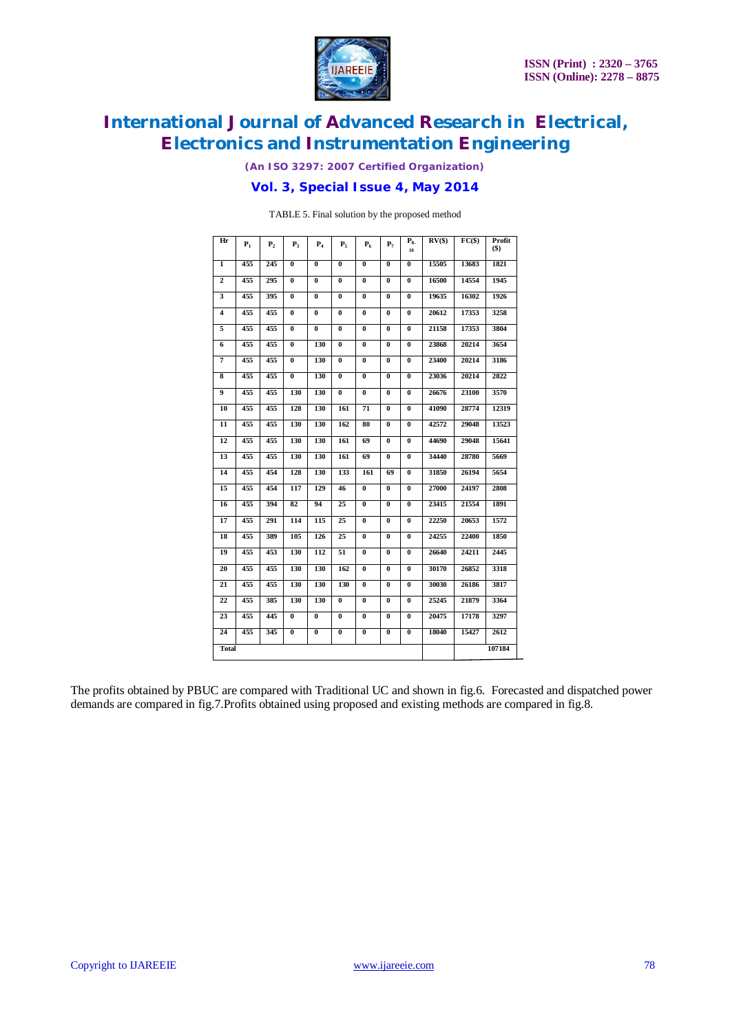

*(An ISO 3297: 2007 Certified Organization)*

### **Vol. 3, Special Issue 4, May 2014**

TABLE 5. Final solution by the proposed method

| Hr             | $P_1$ | P <sub>2</sub> | $P_3$                   | $P_4$          | $P_5$          | $P_6$                   | $P_7$                   | $P_{8}$<br>10           | RV(S) | $FC(\$)$ | Profit<br>$($ \$) |
|----------------|-------|----------------|-------------------------|----------------|----------------|-------------------------|-------------------------|-------------------------|-------|----------|-------------------|
| $\mathbf{1}$   | 455   | 245            | $\bf{0}$                | $\bf{0}$       | $\bf{0}$       | $\bf{0}$                | $\bf{0}$                | $\bf{0}$                | 15505 | 13683    | 1821              |
| $\overline{2}$ | 455   | 295            | $\mathbf{0}$            | $\bf{0}$       | $\bf{0}$       | $\bf{0}$                | $\bf{0}$                | $\bf{0}$                | 16500 | 14554    | 1945              |
| 3              | 455   | 395            | $\bf{0}$                | $\bf{0}$       | $\bf{0}$       | $\bf{0}$                | $\bf{0}$                | $\bf{0}$                | 19635 | 16302    | 1926              |
| 4              | 455   | 455            | $\bf{0}$                | $\bf{0}$       | $\bf{0}$       | $\bf{0}$                | $\bf{0}$                | $\bf{0}$                | 20612 | 17353    | 3258              |
| 5              | 455   | 455            | $\overline{\mathbf{0}}$ | $\overline{0}$ | $\overline{0}$ | $\overline{\mathbf{0}}$ | $\overline{0}$          | $\overline{0}$          | 21158 | 17353    | 3804              |
| 6              | 455   | 455            | $\bf{0}$                | 130            | $\bf{0}$       | $\bf{0}$                | $\bf{0}$                | $\bf{0}$                | 23868 | 20214    | 3654              |
| 7              | 455   | 455            | $\bf{0}$                | 130            | $\bf{0}$       | $\bf{0}$                | $\bf{0}$                | $\bf{0}$                | 23400 | 20214    | 3186              |
| 8              | 455   | 455            | $\bf{0}$                | 130            | $\bf{0}$       | $\bf{0}$                | $\bf{0}$                | $\bf{0}$                | 23036 | 20214    | 2822              |
| 9              | 455   | 455            | 130                     | 130            | $\bf{0}$       | $\bf{0}$                | $\bf{0}$                | $\bf{0}$                | 26676 | 23100    | 3570              |
| 10             | 455   | 455            | 128                     | 130            | 161            | 71                      | $\bf{0}$                | $\bf{0}$                | 41090 | 28774    | 12319             |
| 11             | 455   | 455            | 130                     | 130            | 162            | 80                      | $\bf{0}$                | $\bf{0}$                | 42572 | 29048    | 13523             |
| 12             | 455   | 455            | 130                     | 130            | 161            | 69                      | $\overline{\mathbf{0}}$ | $\overline{\mathbf{0}}$ | 44690 | 29048    | 15641             |
| 13             | 455   | 455            | 130                     | 130            | 161            | 69                      | $\bf{0}$                | $\bf{0}$                | 34440 | 28780    | 5669              |
| 14             | 455   | 454            | 128                     | 130            | 133            | 161                     | 69                      | $\bf{0}$                | 31850 | 26194    | 5654              |
| 15             | 455   | 454            | 117                     | 129            | 46             | $\bf{0}$                | $\bf{0}$                | $\bf{0}$                | 27000 | 24197    | 2808              |
| 16             | 455   | 394            | 82                      | 94             | 25             | $\overline{\mathbf{0}}$ | $\overline{\mathbf{0}}$ | $\bf{0}$                | 23415 | 21554    | 1891              |
| 17             | 455   | 291            | 114                     | 115            | 25             | $\overline{\mathbf{0}}$ | $\overline{\mathbf{0}}$ | $\overline{\mathbf{0}}$ | 22250 | 20653    | 1572              |
| 18             | 455   | 389            | 105                     | 126            | 25             | $\bf{0}$                | $\bf{0}$                | $\bf{0}$                | 24255 | 22400    | 1850              |
| 19             | 455   | 453            | 130                     | 112            | 51             | $\mathbf{0}$            | $\bf{0}$                | $\bf{0}$                | 26640 | 24211    | 2445              |
| 20             | 455   | 455            | 130                     | 130            | 162            | $\bf{0}$                | $\bf{0}$                | $\bf{0}$                | 30170 | 26852    | 3318              |
| 21             | 455   | 455            | 130                     | 130            | 130            | $\overline{\mathbf{0}}$ | $\bf{0}$                | $\bf{0}$                | 30030 | 26186    | 3817              |
| 22             | 455   | 385            | 130                     | 130            | $\bf{0}$       | $\bf{0}$                | $\bf{0}$                | $\bf{0}$                | 25245 | 21879    | 3364              |
| 23             | 455   | 445            | $\bf{0}$                | $\bf{0}$       | $\bf{0}$       | $\bf{0}$                | $\bf{0}$                | $\bf{0}$                | 20475 | 17178    | 3297              |
| 24             | 455   | 345            | $\bf{0}$                | 0              | 0              | $\bf{0}$                | $\bf{0}$                | $\bf{0}$                | 18040 | 15427    | 2612              |
| <b>Total</b>   |       |                |                         |                |                |                         |                         |                         |       |          | 107184            |

The profits obtained by PBUC are compared with Traditional UC and shown in fig.6. Forecasted and dispatched power demands are compared in fig.7.Profits obtained using proposed and existing methods are compared in fig.8.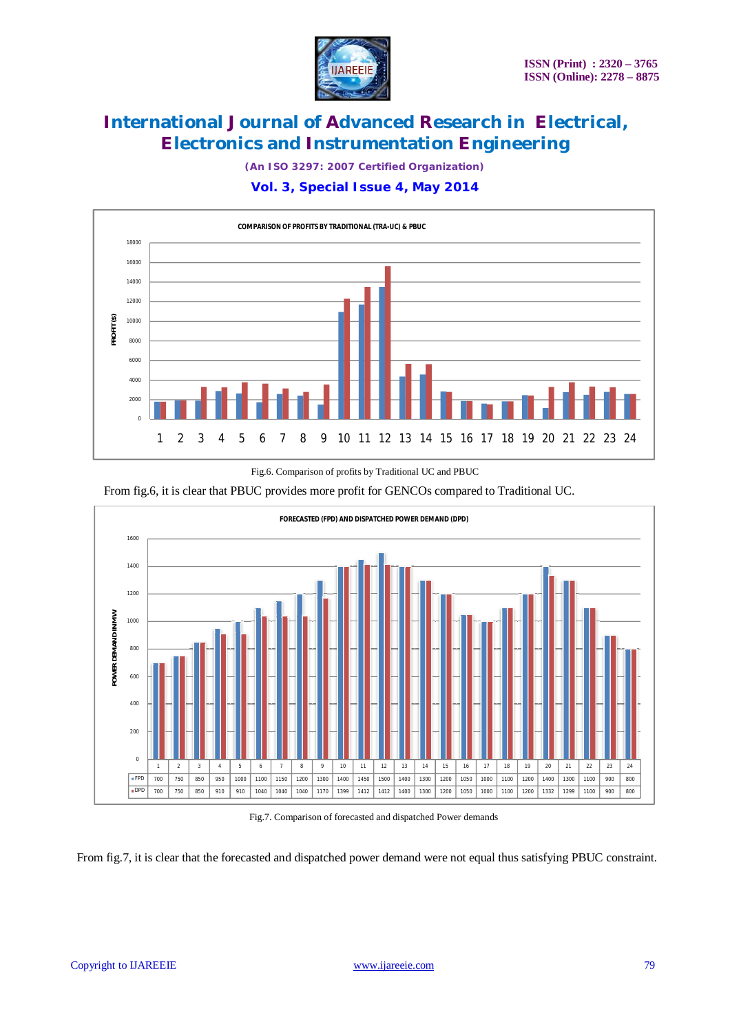

*(An ISO 3297: 2007 Certified Organization)*

### **Vol. 3, Special Issue 4, May 2014**



Fig.6. Comparison of profits by Traditional UC and PBUC

From fig.6, it is clear that PBUC provides more profit for GENCOs compared to Traditional UC.



Fig.7. Comparison of forecasted and dispatched Power demands

From fig.7, it is clear that the forecasted and dispatched power demand were not equal thus satisfying PBUC constraint.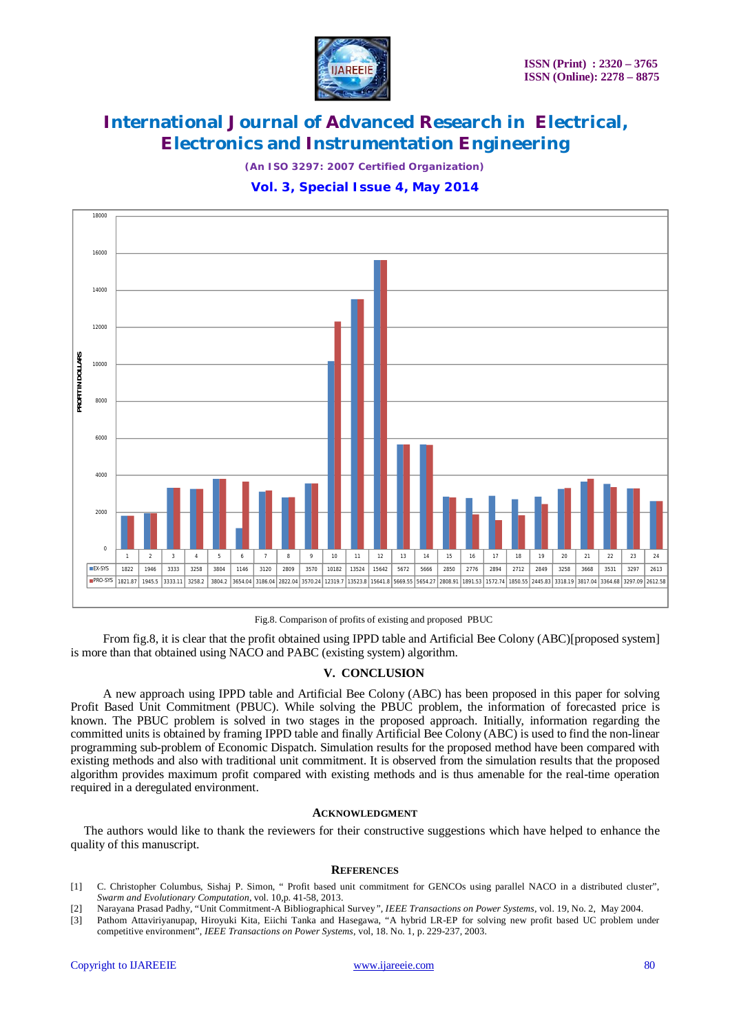

*(An ISO 3297: 2007 Certified Organization)*

### **Vol. 3, Special Issue 4, May 2014**



Fig.8. Comparison of profits of existing and proposed PBUC

From fig.8, it is clear that the profit obtained using IPPD table and Artificial Bee Colony (ABC)[proposed system] is more than that obtained using NACO and PABC (existing system) algorithm.

#### **V. CONCLUSION**

 A new approach using IPPD table and Artificial Bee Colony (ABC) has been proposed in this paper for solving Profit Based Unit Commitment (PBUC). While solving the PBUC problem, the information of forecasted price is known. The PBUC problem is solved in two stages in the proposed approach. Initially, information regarding the committed units is obtained by framing IPPD table and finally Artificial Bee Colony (ABC) is used to find the non-linear programming sub-problem of Economic Dispatch. Simulation results for the proposed method have been compared with existing methods and also with traditional unit commitment. It is observed from the simulation results that the proposed algorithm provides maximum profit compared with existing methods and is thus amenable for the real-time operation required in a deregulated environment.

#### **ACKNOWLEDGMENT**

The authors would like to thank the reviewers for their constructive suggestions which have helped to enhance the quality of this manuscript.

#### **REFERENCES**

- [1] C. Christopher Columbus, Sishaj P. Simon, " Profit based unit commitment for GENCOs using parallel NACO in a distributed cluster", *Swarm and Evolutionary Computation*, vol. 10,p. 41-58, 2013.
- [2] Narayana Prasad Padhy, "Unit Commitment-A Bibliographical Survey*", IEEE Transactions on Power Systems*, vol. 19, No. 2, May 2004.
- [3] Pathom Attaviriyanupap, Hiroyuki Kita, Eiichi Tanka and Hasegawa, "A hybrid LR-EP for solving new profit based UC problem under competitive environment", *IEEE Transactions on Power Systems*, vol, 18. No. 1, p. 229-237, 2003.